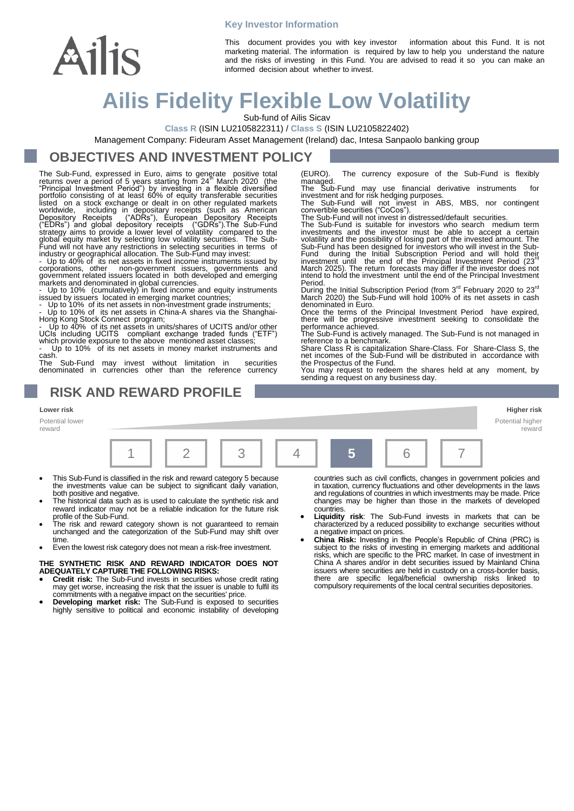#### **Key Investor Information**



This document provides you with key investor information about this Fund. It is not marketing material. The information is required by law to help you understand the nature and the risks of investing in this Fund. You are advised to read it so you can make an informed decision about whether to invest.

# **Ailis Fidelity Flexible Low Volatility**

Sub-fund of Ailis Sicav

**Class R** (ISIN LU2105822311) / **Class S** (ISIN LU2105822402)

Management Company: Fideuram Asset Management (Ireland) dac, Intesa Sanpaolo banking group

### **OBJECTIVES AND INVESTMENT POLICY**

The Sub-Fund, expressed in Euro, aims to generate positive total<br>returns over a period of 5 years starting from 24<sup>th</sup> March 2020 (the<br>"Principal Investment Period") by investing in a flexible diversified<br>portfolio consist

markets and denominated in global currencies.<br>
- Up to 10% (cumulatively) in fixed income and equity instruments<br>
issued by issuers located in emerging market countries;<br>
- Up to 10% of its net assets in non-investment gra

Up to 10% of its net assets in money market instruments and

cash.<br>The Sub-Fund may invest without limitation in securities denominated in currencies other than the reference currency

### **RISK AND REWARD PROFILE**

**Lower risk Higher risk**

Potential lower reward



- This Sub-Fund is classified in the risk and reward category 5 because the investments value can be subject to significant daily variation, both positive and negative.
- The historical data such as is used to calculate the synthetic risk and reward indicator may not be a reliable indication for the future risk profile of the Sub-Fund.
- The risk and reward category shown is not guaranteed to remain unchanged and the categorization of the Sub-Fund may shift over time
- Even the lowest risk category does not mean a risk-free investment.

## **THE SYNTHETIC RISK AND REWARD INDICATOR DOES NOT ADEQUATELY CAPTURE THE FOLLOWING RISKS:**

- **Credit risk:** The Sub-Fund invests in securities whose credit rating may get worse, increasing the risk that the issuer is unable to fulfil its commitments with a negative impact on the securities' price.
- **Developing market risk:** The Sub-Fund is exposed to securities highly sensitive to political and economic instability of developing

countries such as civil conflicts, changes in government policies and in taxation, currency fluctuations and other developments in the laws and regulations of countries in which investments may be made. Price changes may be higher than those in the markets of developed countries.

Potential higher reward

- **Liquidity risk**: The Sub-Fund invests in markets that can be characterized by a reduced possibility to exchange securities without a negative impact on prices.
- **China Risk:** Investing in the People's Republic of China (PRC) is subject to the risks of investing in emerging markets and additional risks, which are specific to the PRC market. In case of investment in China A shares and/or in debt securities issued by Mainland China issuers where securities are held in custody on a cross-border basis, are specific legal/beneficial ownership risks linked to compulsory requirements of the local central securities depositories.

(EURO). The currency exposure of the Sub-Fund is flexibly<br>manged.<br>The Sub-Fund may use financial derivative instruments for<br>investment and for risk hedging purposes.<br>The Sub-Fund will not invest in ABS, MBS, nor contingent intend to hold the investment until the end of the Principal Investment<br>Period.

During the Initial Subscription Period (from 3<sup>rd</sup> February 2020 to 23<sup>rd</sup><br>March 2020) the Sub-Fund will hold 100% of its net assets in cash denominated in Euro.

Once the terms of the Principal Investment Period have expired, there will be progressive investment seeking to consolidate the performance achieved. The Sub-Fund is actively managed. The Sub-Fund is not managed in

reference to a benchmark.

Share Class R is capitalization Share-Class. For Share-Class S, the net incomes of the Sub-Fund will be distributed in accordance with the Prospectus of the Fund.

You may request to redeem the shares held at any moment, by sending a request on any business day.